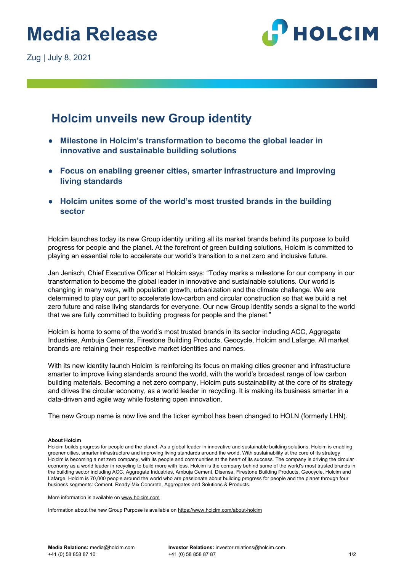# **Media Release**



### **Holcim unveils new Group identity**

- **Milestone in Holcim's transformation to become the global leader in innovative and sustainable building solutions**
- **Focus on enabling greener cities, smarter infrastructure and improving living standards**
- **Holcim unites some of the world's most trusted brands in the building sector**

Holcim launches today its new Group identity uniting all its market brands behind its purpose to build progress for people and the planet. At the forefront of green building solutions, Holcim is committed to playing an essential role to accelerate our world's transition to a net zero and inclusive future.

Jan Jenisch, Chief Executive Officer at Holcim says: "Today marks a milestone for our company in our transformation to become the global leader in innovative and sustainable solutions. Our world is changing in many ways, with population growth, urbanization and the climate challenge. We are determined to play our part to accelerate low-carbon and circular construction so that we build a net zero future and raise living standards for everyone. Our new Group identity sends a signal to the world that we are fully committed to building progress for people and the planet."

Holcim is home to some of the world's most trusted brands in its sector including ACC, Aggregate Industries, Ambuja Cements, Firestone Building Products, Geocycle, Holcim and Lafarge. All market brands are retaining their respective market identities and names.

With its new identity launch Holcim is reinforcing its focus on making cities greener and infrastructure smarter to improve living standards around the world, with the world's broadest range of low carbon building materials. Becoming a net zero company, Holcim puts sustainability at the core of its strategy and drives the circular economy, as a world leader in recycling. It is making its business smarter in a data-driven and agile way while fostering open innovation.

The new Group name is now live and the ticker symbol has been changed to HOLN (formerly LHN).

#### **About Holcim**

Holcim builds progress for people and the planet. As a global leader in innovative and sustainable building solutions, Holcim is enabling greener cities, smarter infrastructure and improving living standards around the world. With sustainability at the core of its strategy Holcim is becoming a net zero company, with its people and communities at the heart of its success. The company is driving the circular economy as a world leader in recycling to build more with less. Holcim is the company behind some of the world's most trusted brands in the building sector including ACC, Aggregate Industries, Ambuja Cement, Disensa, Firestone Building Products, Geocycle, Holcim and Lafarge. Holcim is 70,000 people around the world who are passionate about building progress for people and the planet through four business segments: Cement, Ready-Mix Concrete, Aggregates and Solutions & Products.

More information is available on www.holcim.com

Information about the new Group Purpose is available on https://www.holcim.com/about-holcim